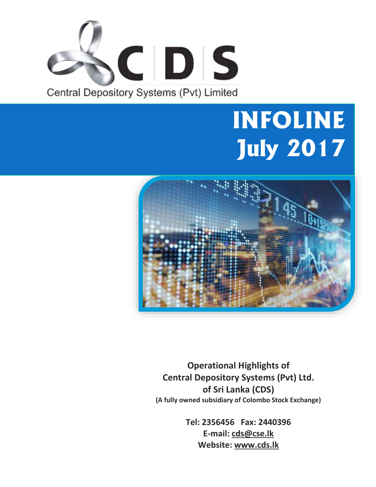

# **INFOLINE July 2017**



**Operational Highlights of Central Depository Systems (Pvt) Ltd. of Sri Lanka (CDS) (A fully owned subsidiary of Colombo Stock Exchange)**

> **Tel: 2356456 Fax: 2440396 E-mail: cds@cse.lk Website: www.cds.lk**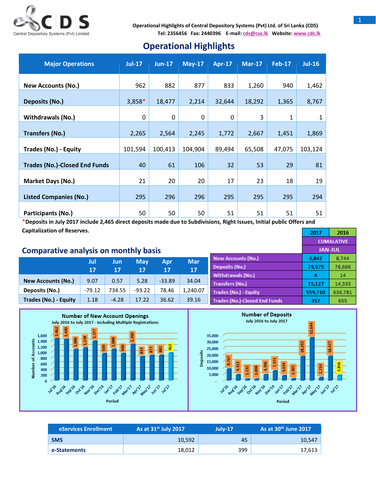

## **Operational Highlights**

| <b>Major Operations</b>              | <b>Jul-17</b>    | $Jun-17$     | $May-17$     | Apr-17   | $Mar-17$ | <b>Feb-17</b> | $Jul-16$ |
|--------------------------------------|------------------|--------------|--------------|----------|----------|---------------|----------|
| <b>New Accounts (No.)</b>            | 962              | 882          | 877          | 833      | 1,260    | 940           | 1,462    |
| Deposits (No.)                       | 3,858*           | 18,477       | 2,214        | 32,644   | 18,292   | 1,365         | 8,767    |
| <b>Withdrawals (No.)</b>             | $\boldsymbol{0}$ | $\mathbf{0}$ | $\mathbf{0}$ | $\Omega$ | 3        | 1             | 1        |
| <b>Transfers (No.)</b>               | 2,265            | 2,564        | 2,245        | 1,772    | 2,667    | 1,451         | 1,869    |
| Trades (No.) - Equity                | 101,594          | 100,413      | 104,904      | 89,494   | 65,508   | 47,075        | 103,124  |
| <b>Trades (No.)-Closed End Funds</b> | 40               | 61           | 106          | 32       | 53       | 29            | 81       |
| Market Days (No.)                    | 21               | 20           | 20           | 17       | 23       | 18            | 19       |
| <b>Listed Companies (No.)</b>        | 295              | 296          | 296          | 295      | 295      | 295           | 294      |
| Participants (No.)                   | 50               | 50           | 50           | 51       | 51       | 51            | 51       |

\***Deposits in July 2017 include 2,465 direct deposits made due to Subdivisions, Right Issues, Initial public Offers and Capitalization of Reserves.**

### **Comparative analysis on monthly basis**

|                              | Jul<br>17 | Jun<br>17 | <b>May</b><br>17 | Apr<br>17 | <b>Mar</b><br>17 |
|------------------------------|-----------|-----------|------------------|-----------|------------------|
| <b>New Accounts (No.)</b>    | 9.07      | 0.57      | 5.28             | $-33.89$  | 34.04            |
| Deposits (No.)               | $-79.12$  | 734.55    | $-93.22$         | 78.46     | 1,240.07         |
| <b>Trades (No.) - Equity</b> | 1.18      | $-4.28$   | 17.22            | 36.62     | 39.16            |







| As at $31^{st}$ July 2017<br>eServices Enrollment |        | $July-17$ | As at $30th$ June 2017 |  |
|---------------------------------------------------|--------|-----------|------------------------|--|
| <b>SMS</b>                                        | 10.592 | 45        | 10,547                 |  |
| e-Statements                                      | 18,012 | 399       | 17,613                 |  |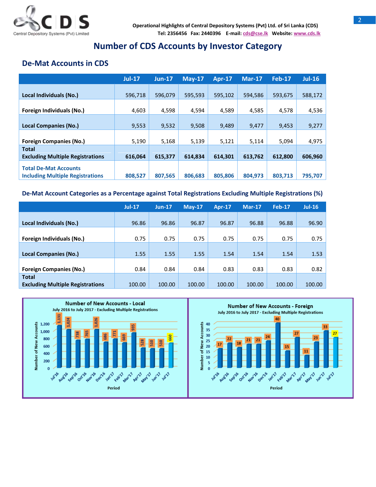

## **Number of CDS Accounts by Investor Category**

## **De-Mat Accounts in CDS**

|                                         | $Jul-17$ | $Jun-17$ | $May-17$ | <b>Apr-17</b> | $Mar-17$ | <b>Feb-17</b> | $Jul-16$ |
|-----------------------------------------|----------|----------|----------|---------------|----------|---------------|----------|
|                                         |          |          |          |               |          |               |          |
| Local Individuals (No.)                 | 596,718  | 596.079  | 595,593  | 595.102       | 594.586  | 593,675       | 588,172  |
|                                         |          |          |          |               |          |               |          |
| Foreign Individuals (No.)               | 4,603    | 4,598    | 4,594    | 4,589         | 4,585    | 4,578         | 4,536    |
|                                         |          |          |          |               |          |               |          |
| <b>Local Companies (No.)</b>            | 9,553    | 9,532    | 9,508    | 9,489         | 9,477    | 9,453         | 9,277    |
|                                         |          |          |          |               |          |               |          |
| <b>Foreign Companies (No.)</b>          | 5,190    | 5,168    | 5,139    | 5,121         | 5,114    | 5,094         | 4,975    |
| <b>Total</b>                            |          |          |          |               |          |               |          |
| <b>Excluding Multiple Registrations</b> | 616,064  | 615,377  | 614,834  | 614,301       | 613,762  | 612,800       | 606,960  |
|                                         |          |          |          |               |          |               |          |
| <b>Including Multiple Registrations</b> | 808,527  | 807,565  | 806,683  | 805.806       | 804,973  | 803,713       | 795,707  |
| <b>Total De-Mat Accounts</b>            |          |          |          |               |          |               |          |

#### **De-Mat Account Categories as a Percentage against Total Registrations Excluding Multiple Registrations (%)**

|                                         | $Jul-17$ | $Jun-17$ | $Mav-17$ | <b>Apr-17</b> | $Mar-17$ | <b>Feb-17</b> | $Jul-16$ |
|-----------------------------------------|----------|----------|----------|---------------|----------|---------------|----------|
|                                         |          |          |          |               |          |               |          |
| Local Individuals (No.)                 | 96.86    | 96.86    | 96.87    | 96.87         | 96.88    | 96.88         | 96.90    |
|                                         |          |          |          |               |          |               |          |
| Foreign Individuals (No.)               | 0.75     | 0.75     | 0.75     | 0.75          | 0.75     | 0.75          | 0.75     |
|                                         |          |          |          |               |          |               |          |
| <b>Local Companies (No.)</b>            | 1.55     | 1.55     | 1.55     | 1.54          | 1.54     | 1.54          | 1.53     |
|                                         |          |          |          |               |          |               |          |
| <b>Foreign Companies (No.)</b>          | 0.84     | 0.84     | 0.84     | 0.83          | 0.83     | 0.83          | 0.82     |
| <b>Total</b>                            |          |          |          |               |          |               |          |
| <b>Excluding Multiple Registrations</b> | 100.00   | 100.00   | 100.00   | 100.00        | 100.00   | 100.00        | 100.00   |

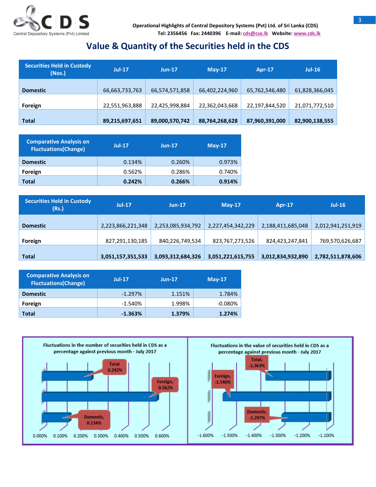

## **Value & Quantity of the Securities held in the CDS**

| <b>Securities Held in Custody</b><br>(Nos.) | $Jul-17$       | $Jun-17$       | $Mav-17$       | <b>Apr-17</b>  | $Jul-16$       |
|---------------------------------------------|----------------|----------------|----------------|----------------|----------------|
| <b>Domestic</b>                             | 66,663,733,763 | 66,574,571,858 | 66,402,224,960 | 65,762,546,480 | 61,828,366,045 |
| Foreign                                     | 22,551,963,888 | 22,425,998,884 | 22,362,043,668 | 22,197,844,520 | 21,071,772,510 |
| <b>Total</b>                                | 89,215,697,651 | 89,000,570,742 | 88,764,268,628 | 87,960,391,000 | 82,900,138,555 |

| <b>Comparative Analysis on</b><br><b>Fluctuations(Change)</b> | <b>Jul-17</b> | $Jun-17$ | $M$ ay-17 |
|---------------------------------------------------------------|---------------|----------|-----------|
| <b>Domestic</b>                                               | 0.134%        | 0.260%   | 0.973%    |
| Foreign                                                       | 0.562%        | 0.286%   | 0.740%    |
| Total                                                         | 0.242%        | 0.266%   | 0.914%    |

| <b>Securities Held in Custody</b><br>(Rs.) | $Jul-17$          | $Jun-17$          | $May-17$          | Apr-17            | $Jul-16$          |
|--------------------------------------------|-------------------|-------------------|-------------------|-------------------|-------------------|
| <b>Domestic</b>                            | 2,223,866,221,348 | 2,253,085,934,792 | 2,227,454,342,229 | 2,188,411,685,048 | 2,012,941,251,919 |
| Foreign                                    | 827,291,130,185   | 840,226,749,534   | 823,767,273,526   | 824,423,247,841   | 769,570,626,687   |
| <b>Total</b>                               | 3,051,157,351,533 | 3,093,312,684,326 | 3,051,221,615,755 | 3,012,834,932,890 | 2,782,511,878,606 |

| <b>Comparative Analysis on</b><br><b>Fluctuations (Change)</b> | $Jul-17$  | $Jun-17$ | $Mav-17$   |
|----------------------------------------------------------------|-----------|----------|------------|
| <b>Domestic</b>                                                | $-1.297%$ | 1.151%   | 1.784%     |
| Foreign                                                        | $-1.540%$ | 1.998%   | $-0.080\%$ |
| Total                                                          | $-1.363%$ | 1.379%   | 1.274%     |

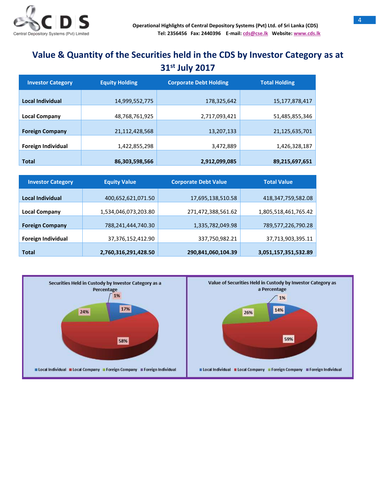

# **Value & Quantity of the Securities held in the CDS by Investor Category as at 31 st July 2017**

| <b>Investor Category</b>  | <b>Equity Holding</b> | <b>Corporate Debt Holding</b> | <b>Total Holding</b> |  |
|---------------------------|-----------------------|-------------------------------|----------------------|--|
| Local Individual          | 14,999,552,775        | 178,325,642                   | 15,177,878,417       |  |
| <b>Local Company</b>      | 48,768,761,925        | 2,717,093,421                 | 51,485,855,346       |  |
| <b>Foreign Company</b>    | 21,112,428,568        | 13,207,133                    | 21,125,635,701       |  |
| <b>Foreign Individual</b> | 1,422,855,298         | 3,472,889                     | 1,426,328,187        |  |
| <b>Total</b>              | 86,303,598,566        | 2,912,099,085                 | 89,215,697,651       |  |

| <b>Investor Category</b> | <b>Equity Value</b>  | <b>Corporate Debt Value</b> | <b>Total Value</b>   |  |
|--------------------------|----------------------|-----------------------------|----------------------|--|
| Local Individual         | 400,652,621,071.50   | 17,695,138,510.58           | 418,347,759,582.08   |  |
| <b>Local Company</b>     | 1,534,046,073,203.80 | 271,472,388,561.62          | 1,805,518,461,765.42 |  |
| <b>Foreign Company</b>   | 788,241,444,740.30   | 1,335,782,049.98            | 789,577,226,790.28   |  |
| Foreign Individual       | 37,376,152,412.90    | 337,750,982.21              | 37,713,903,395.11    |  |
| <b>Total</b>             | 2,760,316,291,428.50 | 290,841,060,104.39          | 3,051,157,351,532.89 |  |

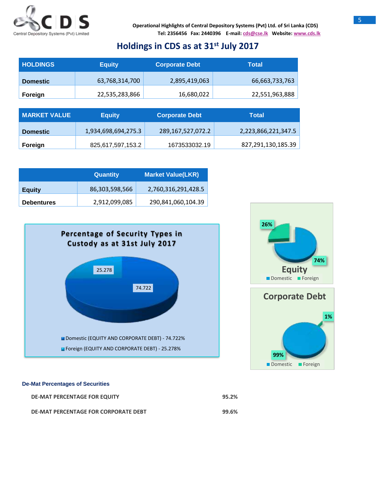

## **Holdings in CDS as at 31 st July 2017**

| <b>HOLDINGS</b> | <b>Equity</b>  | <b>Corporate Debt</b> | Total          |
|-----------------|----------------|-----------------------|----------------|
| <b>Domestic</b> | 63,768,314,700 | 2,895,419,063         | 66,663,733,763 |
| Foreign         | 22,535,283,866 | 16,680,022            | 22,551,963,888 |

| <b>MARKET VALUE</b> | <b>Equity</b>       | Corporate Debt    | Total               |
|---------------------|---------------------|-------------------|---------------------|
| <b>Domestic</b>     | 1,934,698,694,275.3 | 289,167,527,072.2 | 2,223,866,221,347.5 |
| Foreign             | 825,617,597,153.2   | 1673533032.19     | 827,291,130,185.39  |

|                   | <b>Quantity</b> | <b>Market Value(LKR)</b> |
|-------------------|-----------------|--------------------------|
| <b>Equity</b>     | 86,303,598,566  | 2,760,316,291,428.5      |
| <b>Debentures</b> | 2,912,099,085   | 290,841,060,104.39       |





**99%**

Domestic Foreign

#### **De-Mat Percentages of Securities**

| DE-MAT PERCENTAGE FOR EQUITY         | 95.2% |
|--------------------------------------|-------|
| DE-MAT PERCENTAGE FOR CORPORATE DEBT | 99.6% |